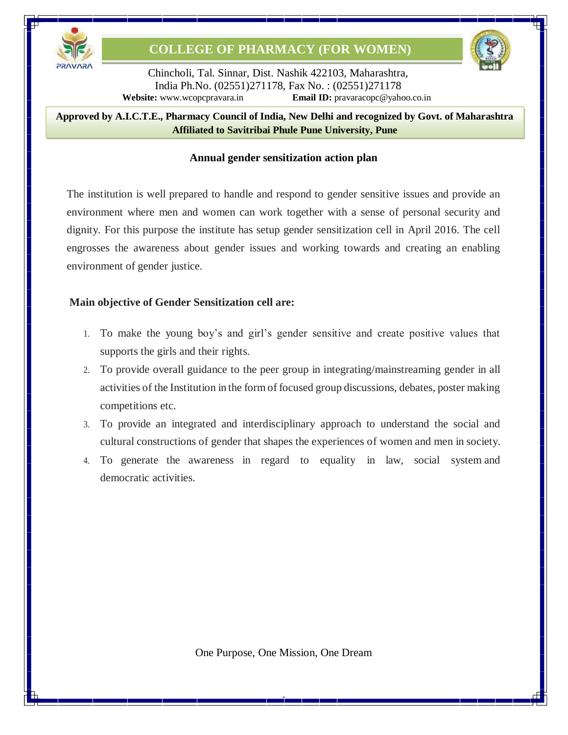



Chincholi, Tal. Sinnar, Dist. Nashik 422103, Maharashtra, India Ph.No. (02551)271178, Fax No. : (02551)271178 **Website:** [www.wcopcpravara.in](http://www.wcopcpravara.in/) **Email ID:** [pravaracopc@yahoo.co.in](mailto:pravaracopc@yahoo.co.in)

8 **Approved by A.I.C.T.E., Pharmacy Council of India, New Delhi and recognized by Govt. of Maharashtra Affiliated to Savitribai Phule Pune University, Pune**

#### **Annual gender sensitization action plan**

The institution is well prepared to handle and respond to gender sensitive issues and provide an environment where men and women can work together with a sense of personal security and dignity. For this purpose the institute has setup gender sensitization cell in April 2016. The cell engrosses the awareness about gender issues and working towards and creating an enabling environment of gender justice.

### **Main objective of Gender Sensitization cell are:**

- 1. To make the young boy's and girl's gender sensitive and create positive values that supports the girls and their rights.
- 2. To provide overall guidance to the peer group in integrating/mainstreaming gender in all activities of the Institution in the form of focused group discussions, debates, poster making competitions etc.
- 3. To provide an integrated and interdisciplinary approach to understand the social and cultural constructions of gender that shapes the experiences of women and men in society.
- 4. To generate the awareness in regard to equality in law, social system and democratic activities.

One Purpose, One Mission, One Dream

.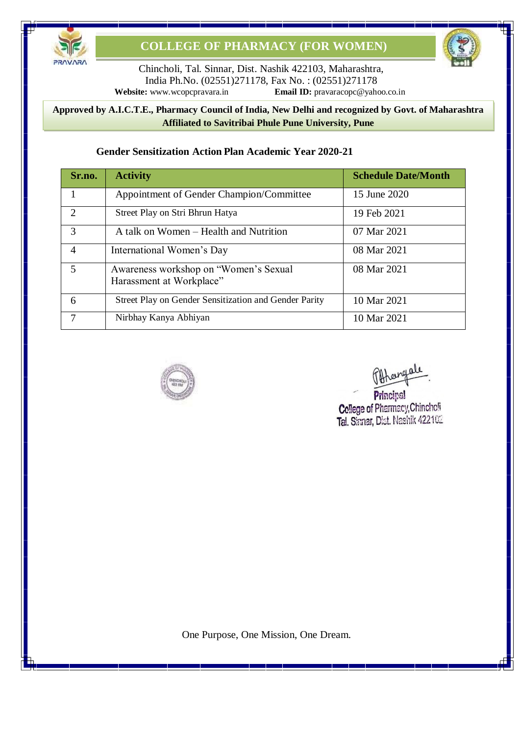

Chincholi, Tal. Sinnar, Dist. Nashik 422103, Maharashtra, India Ph.No. (02551)271178, Fax No. : (02551)271178<br>Website: www.wcopcpravara.in Email ID: pravaracopc@yaho **Email ID:** [pravaracopc@yahoo.co.in](mailto:pravaracopc@yahoo.co.in)

#### 8 **Approved by A.I.C.T.E., Pharmacy Council of India, New Delhi and recognized by Govt. of Maharashtra Affiliated to Savitribai Phule Pune University, Pune**

### **Gender Sensitization Action Plan Academic Year 2020-21**

| Sr.no.         | <b>Activity</b>                                                    | <b>Schedule Date/Month</b> |
|----------------|--------------------------------------------------------------------|----------------------------|
| 1              | Appointment of Gender Champion/Committee                           | 15 June 2020               |
| $\overline{2}$ | Street Play on Stri Bhrun Hatya                                    | 19 Feb 2021                |
| 3              | A talk on Women – Health and Nutrition                             | 07 Mar 2021                |
| $\overline{4}$ | International Women's Day                                          | 08 Mar 2021                |
| 5              | Awareness workshop on "Women's Sexual"<br>Harassment at Workplace" | 08 Mar 2021                |
| 6              | Street Play on Gender Sensitization and Gender Parity              | 10 Mar 2021                |
| $\overline{7}$ | Nirbhay Kanya Abhiyan                                              | 10 Mar 2021                |



Othergale

Principal College of Pharmacy, Chincholi Tal. Sinnar, Dist. Nashik 422102

One Purpose, One Mission, One Dream.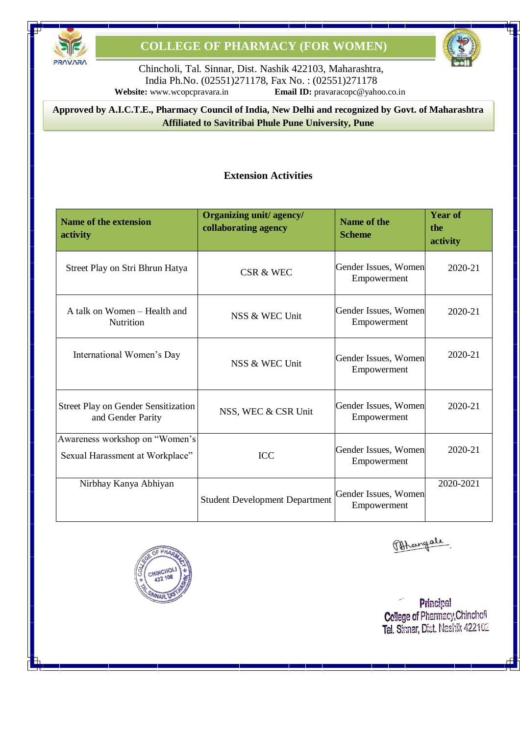



Chincholi, Tal. Sinnar, Dist. Nashik 422103, Maharashtra, India Ph.No. (02551)271178, Fax No. : (02551)271178 **Website:** [www.wcopcpravara.in](http://www.wcopcpravara.in/) **Email ID:** [pravaracopc@yahoo.co.in](mailto:pravaracopc@yahoo.co.in)

8 **Approved by A.I.C.T.E., Pharmacy Council of India, New Delhi and recognized by Govt. of Maharashtra Affiliated to Savitribai Phule Pune University, Pune**

### **Extension Activities**

| <b>Name of the extension</b><br>activity                          | Organizing unit/agency/<br>collaborating agency | Name of the<br><b>Scheme</b>        | <b>Year of</b><br>the<br>activity |
|-------------------------------------------------------------------|-------------------------------------------------|-------------------------------------|-----------------------------------|
| Street Play on Stri Bhrun Hatya                                   | CSR & WEC                                       | Gender Issues, Women<br>Empowerment | 2020-21                           |
| A talk on Women - Health and<br>Nutrition                         | NSS & WEC Unit                                  | Gender Issues, Women<br>Empowerment | 2020-21                           |
| International Women's Day                                         | NSS & WEC Unit                                  | Gender Issues, Women<br>Empowerment | 2020-21                           |
| <b>Street Play on Gender Sensitization</b><br>and Gender Parity   | NSS, WEC & CSR Unit                             | Gender Issues, Women<br>Empowerment | 2020-21                           |
| Awareness workshop on "Women's<br>Sexual Harassment at Workplace" | <b>ICC</b>                                      | Gender Issues, Women<br>Empowerment | 2020-21                           |
| Nirbhay Kanya Abhiyan                                             | <b>Student Development Department</b>           | Gender Issues, Women<br>Empowerment | 2020-2021                         |



Offengale

Principal College of Pharmacy, Chincholi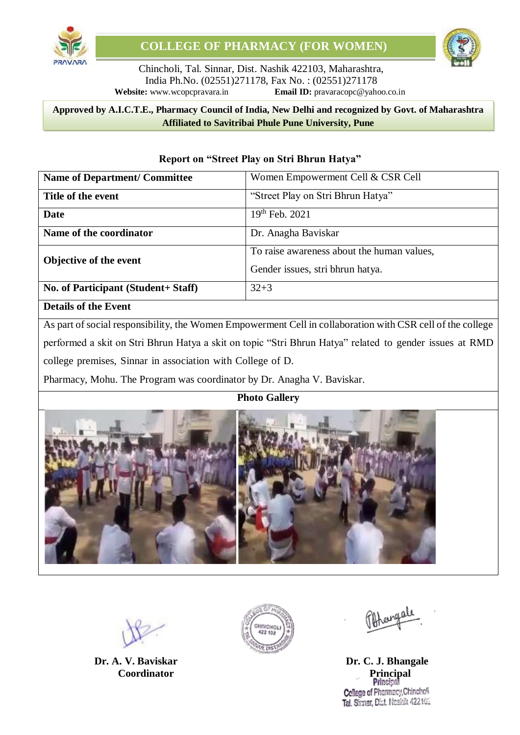

Chincholi, Tal. Sinnar, Dist. Nashik 422103, Maharashtra, India Ph.No. (02551)271178, Fax No. : (02551)271178 **Website:** [www.wcopcpravara.in](http://www.wcopcpravara.in/) **Email ID:** [pravaracopc@yahoo.co.in](mailto:pravaracopc@yahoo.co.in)

#### 8 **Approved by A.I.C.T.E., Pharmacy Council of India, New Delhi and recognized by Govt. of Maharashtra Affiliated to Savitribai Phule Pune University, Pune**

| <b>Name of Department/ Committee</b> | Women Empowerment Cell & CSR Cell                                              |
|--------------------------------------|--------------------------------------------------------------------------------|
| Title of the event                   | "Street Play on Stri Bhrun Hatya"                                              |
| Date                                 | $19th$ Feb. 2021                                                               |
| Name of the coordinator              | Dr. Anagha Baviskar                                                            |
| <b>Objective of the event</b>        | To raise awareness about the human values,<br>Gender issues, stri bhrun hatya. |
| No. of Participant (Student+ Staff)  | $32 + 3$                                                                       |
| <b>Details of the Event</b>          |                                                                                |

#### **Report on "Street Play on Stri Bhrun Hatya"**

As part of social responsibility, the Women Empowerment Cell in collaboration with CSR cell of the college performed a skit on Stri Bhrun Hatya a skit on topic "Stri Bhrun Hatya" related to gender issues at RMD college premises, Sinnar in association with College of D.

Pharmacy, Mohu. The Program was coordinator by Dr. Anagha V. Baviskar.

## **Photo Gallery**





**Dr. A. V. Baviskar Dr. C. J. Bhangale Coordinator Principal Principal** College of Pharmacy, Chinchoff Tal. Sinnar, Dist. Nashik 422102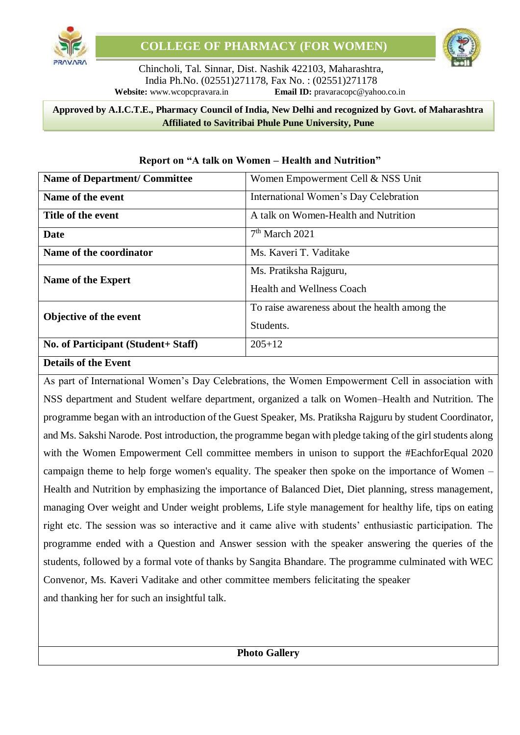

#### 8 **Approved by A.I.C.T.E., Pharmacy Council of India, New Delhi and recognized by Govt. of Maharashtra Affiliated to Savitribai Phule Pune University, Pune**

| <b>Name of Department/ Committee</b> | Women Empowerment Cell & NSS Unit             |
|--------------------------------------|-----------------------------------------------|
| Name of the event                    | International Women's Day Celebration         |
| Title of the event                   | A talk on Women-Health and Nutrition          |
| Date                                 | $7th$ March 2021                              |
| Name of the coordinator              | Ms. Kaveri T. Vaditake                        |
| Name of the Expert                   | Ms. Pratiksha Rajguru,                        |
|                                      | <b>Health and Wellness Coach</b>              |
| Objective of the event               | To raise awareness about the health among the |
|                                      | Students.                                     |
| No. of Participant (Student+ Staff)  | $205 + 12$                                    |
| <b>Details of the Event</b>          |                                               |

#### **Report on "A talk on Women – Health and Nutrition"**

As part of International Women's Day Celebrations, the Women Empowerment Cell in association with NSS department and Student welfare department, organized a talk on Women–Health and Nutrition. The programme began with an introduction of the Guest Speaker, Ms. Pratiksha Rajguru by student Coordinator, and Ms. Sakshi Narode. Post introduction, the programme began with pledge taking of the girl students along with the Women Empowerment Cell committee members in unison to support the #EachforEqual 2020 campaign theme to help forge women's equality. The speaker then spoke on the importance of Women – Health and Nutrition by emphasizing the importance of Balanced Diet, Diet planning, stress management, managing Over weight and Under weight problems, Life style management for healthy life, tips on eating right etc. The session was so interactive and it came alive with students' enthusiastic participation. The programme ended with a Question and Answer session with the speaker answering the queries of the students, followed by a formal vote of thanks by Sangita Bhandare. The programme culminated with WEC Convenor, Ms. Kaveri Vaditake and other committee members felicitating the speaker and thanking her for such an insightful talk.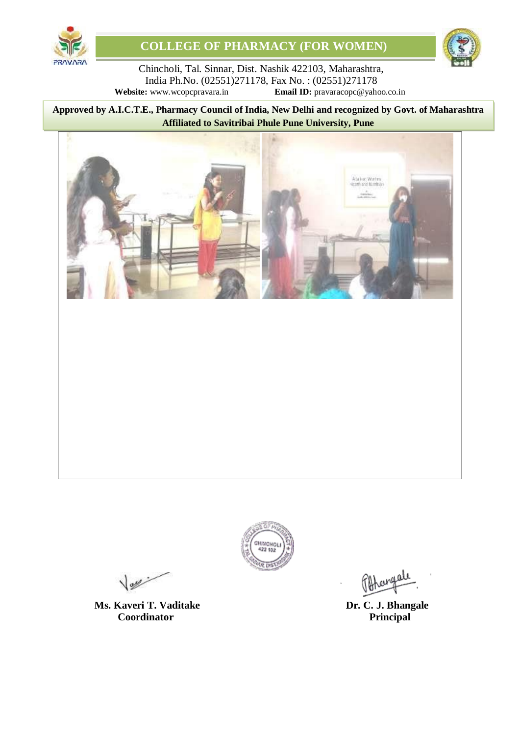



Chincholi, Tal. Sinnar, Dist. Nashik 422103, Maharashtra, India Ph.No. (02551)271178, Fax No. : (02551)271178<br>Website: www.wcopcpravara.in Email ID: pravaracopc@yaho **Email ID:** [pravaracopc@yahoo.co.in](mailto:pravaracopc@yahoo.co.in)

8 **Approved by A.I.C.T.E., Pharmacy Council of India, New Delhi and recognized by Govt. of Maharashtra Affiliated to Savitribai Phule Pune University, Pune**





 $\sqrt{2\pi r}$ 

**Ms. Kaveri T. Vaditake Dr. C. J. Bhangale Dr. C. J. Bhangale Dr. C. J. Bhangale Coordinator**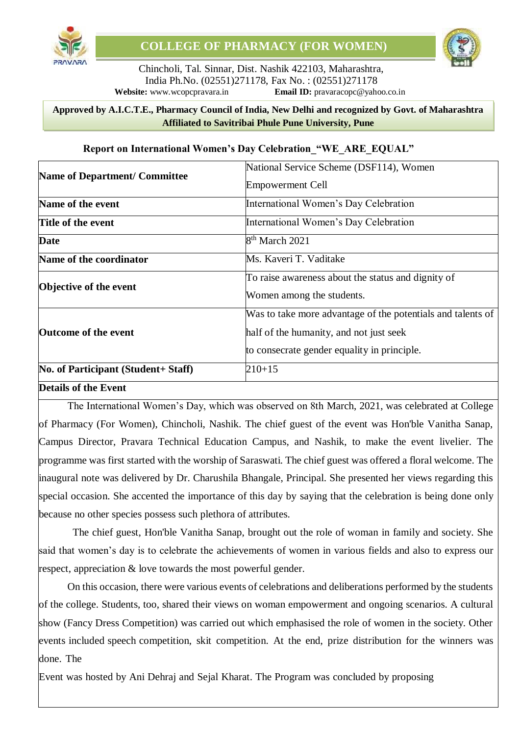

#### 8 **Approved by A.I.C.T.E., Pharmacy Council of India, New Delhi and recognized by Govt. of Maharashtra Affiliated to Savitribai Phule Pune University, Pune**

|                                     | National Service Scheme (DSF114), Women                     |
|-------------------------------------|-------------------------------------------------------------|
| Name of Department/ Committee       | <b>Empowerment Cell</b>                                     |
| Name of the event                   | International Women's Day Celebration                       |
| <b>Title of the event</b>           | International Women's Day Celebration                       |
| Date                                | $8th$ March 2021                                            |
| Name of the coordinator             | Ms. Kaveri T. Vaditake                                      |
|                                     | To raise awareness about the status and dignity of          |
| Objective of the event              | Women among the students.                                   |
|                                     | Was to take more advantage of the potentials and talents of |
| <b>Outcome of the event</b>         | half of the humanity, and not just seek                     |
|                                     | to consecrate gender equality in principle.                 |
| No. of Participant (Student+ Staff) | $210 + 15$                                                  |
| <b>Details of the Event</b>         |                                                             |

#### **Report on International Women's Day Celebration "WE ARE EQUAL"**

The International Women's Day, which was observed on 8th March, 2021, was celebrated at College of Pharmacy (For Women), Chincholi, Nashik. The chief guest of the event was Hon'ble Vanitha Sanap, Campus Director, Pravara Technical Education Campus, and Nashik, to make the event livelier. The programme was first started with the worship of Saraswati. The chief guest was offered a floral welcome. The inaugural note was delivered by Dr. Charushila Bhangale, Principal. She presented her views regarding this special occasion. She accented the importance of this day by saying that the celebration is being done only

because no other species possess such plethora of attributes.

The chief guest, Hon'ble Vanitha Sanap, brought out the role of woman in family and society. She said that women's day is to celebrate the achievements of women in various fields and also to express our respect, appreciation & love towards the most powerful gender.

On this occasion, there were various events of celebrations and deliberations performed by the students of the college. Students, too, shared their views on woman empowerment and ongoing scenarios. A cultural show (Fancy Dress Competition) was carried out which emphasised the role of women in the society. Other events included speech competition, skit competition. At the end, prize distribution for the winners was done. The

Event was hosted by Ani Dehraj and Sejal Kharat. The Program was concluded by proposing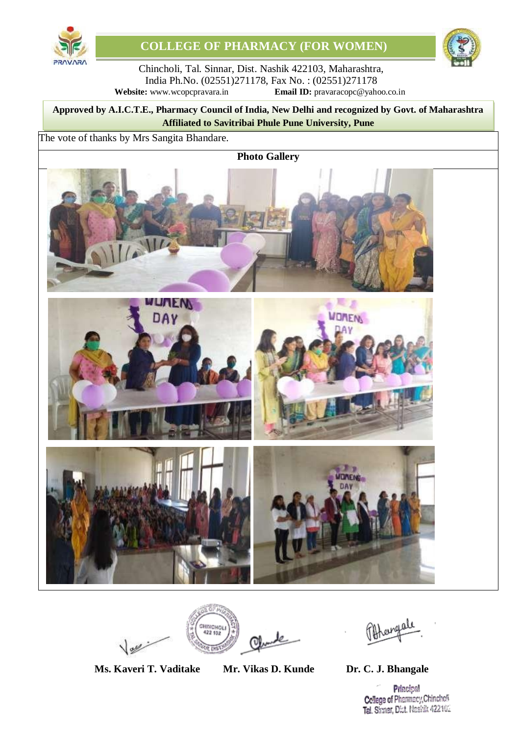



Chincholi, Tal. Sinnar, Dist. Nashik 422103, Maharashtra, India Ph.No. (02551)271178, Fax No. : (02551)271178 **Website:** [www.wcopcpravara.in](http://www.wcopcpravara.in/) **Email ID:** [pravaracopc@yahoo.co.in](mailto:pravaracopc@yahoo.co.in)

8 **Approved by A.I.C.T.E., Pharmacy Council of India, New Delhi and recognized by Govt. of Maharashtra Affiliated to Savitribai Phule Pune University, Pune**

The vote of thanks by Mrs Sangita Bhandare.

**Photo Gallery**





CHINCHOL

**Ms. Kaveri T. Vaditake Mr. Vikas D. Kunde Dr. C. J. Bhangale**

**Principal** College of Pharmacy, Chinchoff Tal. Sinnar, Dist. Nashik 422102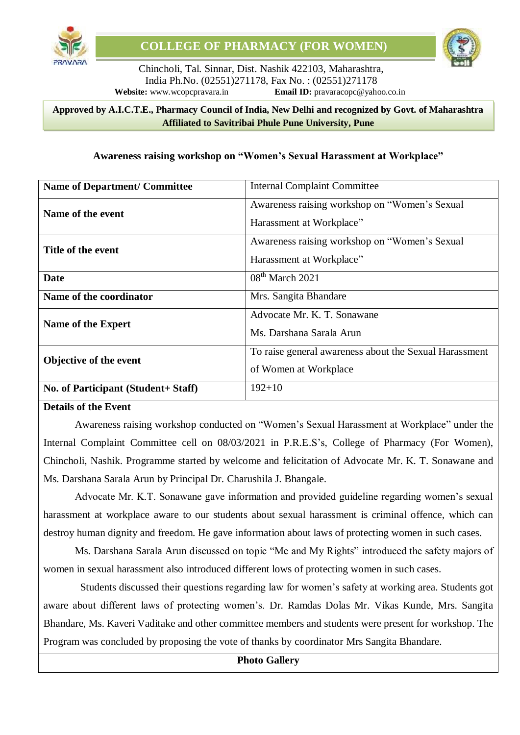

#### 8 **Approved by A.I.C.T.E., Pharmacy Council of India, New Delhi and recognized by Govt. of Maharashtra Affiliated to Savitribai Phule Pune University, Pune**

#### **Awareness raising workshop on "Women's Sexual Harassment at Workplace"**

| <b>Name of Department/ Committee</b> | <b>Internal Complaint Committee</b>                                             |
|--------------------------------------|---------------------------------------------------------------------------------|
| Name of the event                    | Awareness raising workshop on "Women's Sexual<br>Harassment at Workplace"       |
| Title of the event                   | Awareness raising workshop on "Women's Sexual<br>Harassment at Workplace"       |
| Date                                 | $08th$ March 2021                                                               |
| Name of the coordinator              | Mrs. Sangita Bhandare                                                           |
| Name of the Expert                   | Advocate Mr. K. T. Sonawane<br>Ms. Darshana Sarala Arun                         |
| Objective of the event               | To raise general awareness about the Sexual Harassment<br>of Women at Workplace |
| No. of Participant (Student+ Staff)  | $192 + 10$                                                                      |

#### **Details of the Event**

Awareness raising workshop conducted on "Women's Sexual Harassment at Workplace" under the Internal Complaint Committee cell on 08/03/2021 in P.R.E.S's, College of Pharmacy (For Women), Chincholi, Nashik. Programme started by welcome and felicitation of Advocate Mr. K. T. Sonawane and Ms. Darshana Sarala Arun by Principal Dr. Charushila J. Bhangale.

Advocate Mr. K.T. Sonawane gave information and provided guideline regarding women's sexual harassment at workplace aware to our students about sexual harassment is criminal offence, which can destroy human dignity and freedom. He gave information about laws of protecting women in such cases.

Ms. Darshana Sarala Arun discussed on topic "Me and My Rights" introduced the safety majors of women in sexual harassment also introduced different lows of protecting women in such cases.

 Students discussed their questions regarding law for women's safety at working area. Students got aware about different laws of protecting women's. Dr. Ramdas Dolas Mr. Vikas Kunde, Mrs. Sangita Bhandare, Ms. Kaveri Vaditake and other committee members and students were present for workshop. The Program was concluded by proposing the vote of thanks by coordinator Mrs Sangita Bhandare.

#### **Photo Gallery**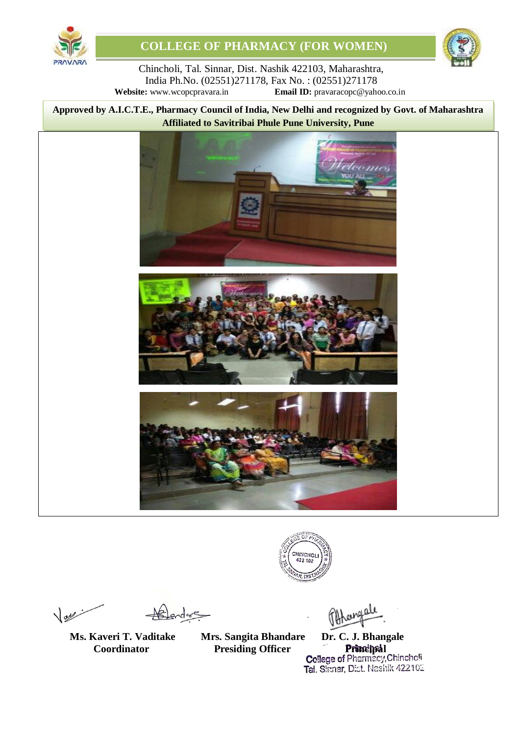



Chincholi, Tal. Sinnar, Dist. Nashik 422103, Maharashtra, India Ph.No. (02551)271178, Fax No. : (02551)271178<br>Website: www.wcopcpravara.in Email ID: pravaracopc@yaho **Email ID:** [pravaracopc@yahoo.co.in](mailto:pravaracopc@yahoo.co.in)

8 **Approved by A.I.C.T.E., Pharmacy Council of India, New Delhi and recognized by Govt. of Maharashtra Affiliated to Savitribai Phule Pune University, Pune**









 $\sqrt{28}$ 

**Ms. Kaveri T. Vaditake** 

**Mrs. Sangita Bhandare Dr. C. J. Bhangale** 

**Coordinator Presiding Officer Principal Presiding Officer Principal** Tal. Simar, Dist. Nashik 422102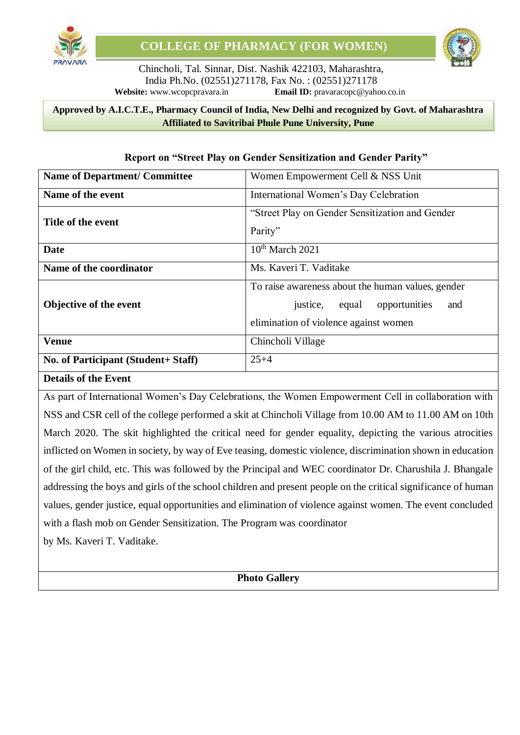

#### 8 **Approved by A.I.C.T.E., Pharmacy Council of India, New Delhi and recognized by Govt. of Maharashtra Affiliated to Savitribai Phule Pune University, Pune**

| <b>Name of Department/ Committee</b> | Women Empowerment Cell & NSS Unit                                                                                                 |  |
|--------------------------------------|-----------------------------------------------------------------------------------------------------------------------------------|--|
| Name of the event                    | International Women's Day Celebration                                                                                             |  |
| Title of the event                   | "Street Play on Gender Sensitization and Gender<br>Parity"                                                                        |  |
| <b>Date</b>                          | $10th$ March 2021                                                                                                                 |  |
| Name of the coordinator              | Ms. Kaveri T. Vaditake                                                                                                            |  |
| <b>Objective of the event</b>        | To raise awareness about the human values, gender<br>justice, equal opportunities<br>and<br>elimination of violence against women |  |
| <b>Venue</b>                         | Chincholi Village                                                                                                                 |  |
| No. of Participant (Student+ Staff)  | $25 + 4$                                                                                                                          |  |

#### **Report on "Street Play on Gender Sensitization and Gender Parity"**

#### **Details of the Event**

As part of International Women's Day Celebrations, the Women Empowerment Cell in collaboration with NSS and CSR cell of the college performed a skit at Chincholi Village from 10.00 AM to 11.00 AM on 10th March 2020. The skit highlighted the critical need for gender equality, depicting the various atrocities inflicted on Women in society, by way of Eve teasing, domestic violence, discrimination shown in education of the girl child, etc. This was followed by the Principal and WEC coordinator Dr. Charushila J. Bhangale addressing the boys and girls of the school children and present people on the critical significance of human values, gender justice, equal opportunities and elimination of violence against women. The event concluded with a flash mob on Gender Sensitization. The Program was coordinator

by Ms. Kaveri T. Vaditake.

**Photo Gallery**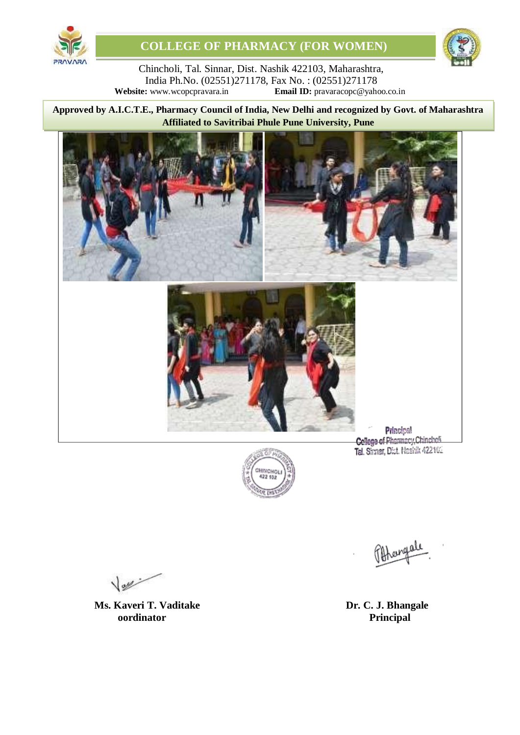



Chincholi, Tal. Sinnar, Dist. Nashik 422103, Maharashtra, India Ph.No. (02551)271178, Fax No. : (02551)271178<br>Website: www.wcopcpravara.in **Email ID:** pravaracopc@yaho **Email ID:** [pravaracopc@yahoo.co.in](mailto:pravaracopc@yahoo.co.in)

8 **Approved by A.I.C.T.E., Pharmacy Council of India, New Delhi and recognized by Govt. of Maharashtra Affiliated to Savitribai Phule Pune University, Pune**





Tal. Sinnar, Dist. Nashik 422102

rengele

 $\sqrt{2\pi r}$ 

**Ms. Kaveri T. Vaditake Dr. C. J. Bhangale oordinator Principal**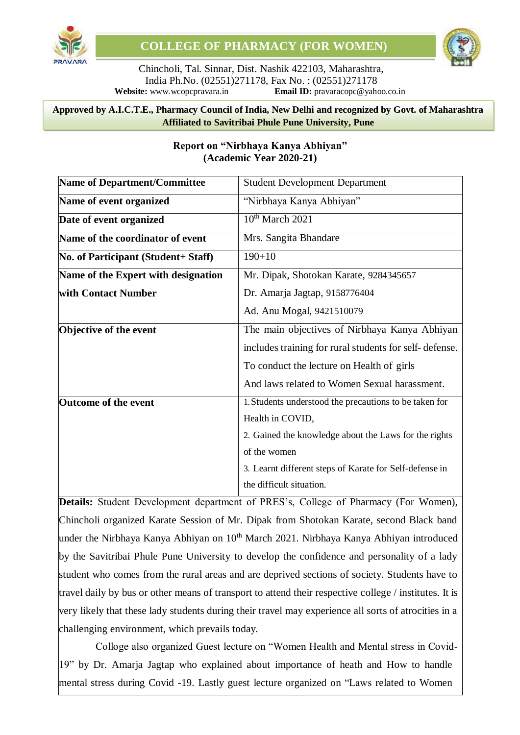

#### 8 **Approved by A.I.C.T.E., Pharmacy Council of India, New Delhi and recognized by Govt. of Maharashtra Affiliated to Savitribai Phule Pune University, Pune**

| <b>Name of Department/Committee</b> | <b>Student Development Department</b>                   |
|-------------------------------------|---------------------------------------------------------|
| Name of event organized             | "Nirbhaya Kanya Abhiyan"                                |
| Date of event organized             | $10th$ March 2021                                       |
| Name of the coordinator of event    | Mrs. Sangita Bhandare                                   |
| No. of Participant (Student+ Staff) | $190 + 10$                                              |
| Name of the Expert with designation | Mr. Dipak, Shotokan Karate, 9284345657                  |
| with Contact Number                 | Dr. Amarja Jagtap, 9158776404                           |
|                                     | Ad. Anu Mogal, 9421510079                               |
| Objective of the event              | The main objectives of Nirbhaya Kanya Abhiyan           |
|                                     | includes training for rural students for self-defense.  |
|                                     | To conduct the lecture on Health of girls               |
|                                     | And laws related to Women Sexual harassment.            |
| <b>Outcome of the event</b>         | 1. Students understood the precautions to be taken for  |
|                                     | Health in COVID,                                        |
|                                     | 2. Gained the knowledge about the Laws for the rights   |
|                                     | of the women                                            |
|                                     | 3. Learnt different steps of Karate for Self-defense in |
|                                     | the difficult situation.                                |

## **Report on "Nirbhaya Kanya Abhiyan" (Academic Year 2020-21)**

**Details:** Student Development department of PRES's, College of Pharmacy (For Women), Chincholi organized Karate Session of Mr. Dipak from Shotokan Karate, second Black band under the Nirbhaya Kanya Abhiyan on  $10^{th}$  March 2021. Nirbhaya Kanya Abhiyan introduced by the Savitribai Phule Pune University to develop the confidence and personality of a lady student who comes from the rural areas and are deprived sections of society. Students have to travel daily by bus or other means of transport to attend their respective college / institutes. It is very likely that these lady students during their travel may experience all sorts of atrocities in a challenging environment, which prevails today.

Colloge also organized Guest lecture on "Women Health and Mental stress in Covid-19" by Dr. Amarja Jagtap who explained about importance of heath and How to handle mental stress during Covid -19. Lastly guest lecture organized on "Laws related to Women